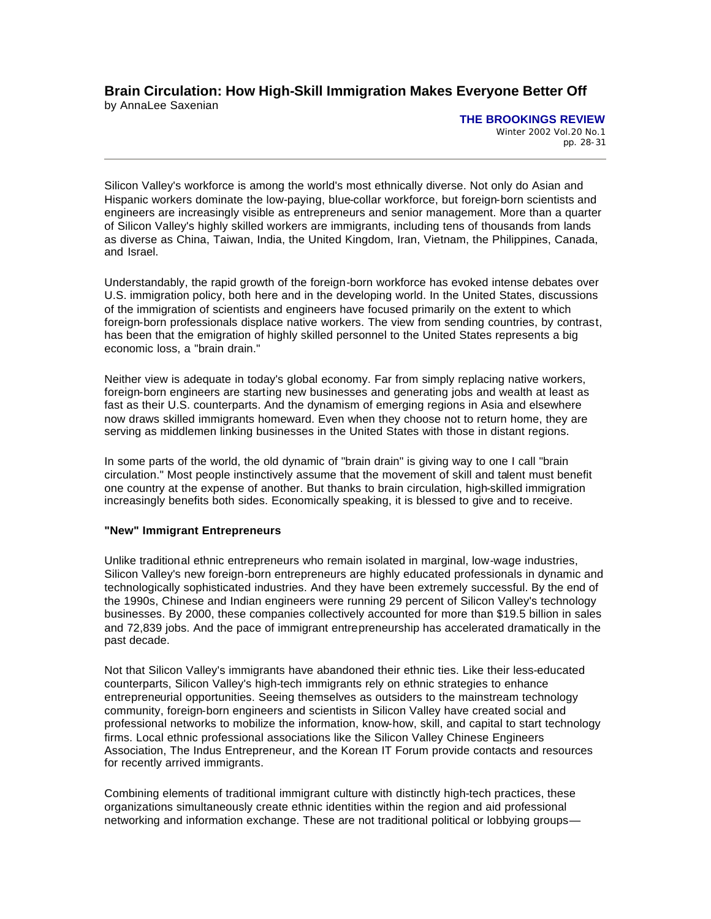# **Brain Circulation: How High-Skill Immigration Makes Everyone Better Off**

by AnnaLee Saxenian

**THE BROOKINGS REVIEW** Winter 2002 Vol.20 No.1 *pp. 28-31*

Silicon Valley's workforce is among the world's most ethnically diverse. Not only do Asian and Hispanic workers dominate the low-paying, blue-collar workforce, but foreign-born scientists and engineers are increasingly visible as entrepreneurs and senior management. More than a quarter of Silicon Valley's highly skilled workers are immigrants, including tens of thousands from lands as diverse as China, Taiwan, India, the United Kingdom, Iran, Vietnam, the Philippines, Canada, and Israel.

Understandably, the rapid growth of the foreign-born workforce has evoked intense debates over U.S. immigration policy, both here and in the developing world. In the United States, discussions of the immigration of scientists and engineers have focused primarily on the extent to which foreign-born professionals displace native workers. The view from sending countries, by contrast, has been that the emigration of highly skilled personnel to the United States represents a big economic loss, a "brain drain."

Neither view is adequate in today's global economy. Far from simply replacing native workers, foreign-born engineers are starting new businesses and generating jobs and wealth at least as fast as their U.S. counterparts. And the dynamism of emerging regions in Asia and elsewhere now draws skilled immigrants homeward. Even when they choose not to return home, they are serving as middlemen linking businesses in the United States with those in distant regions.

In some parts of the world, the old dynamic of "brain drain" is giving way to one I call "brain circulation." Most people instinctively assume that the movement of skill and talent must benefit one country at the expense of another. But thanks to brain circulation, high-skilled immigration increasingly benefits both sides. Economically speaking, it is blessed to give and to receive.

## **"New" Immigrant Entrepreneurs**

Unlike traditional ethnic entrepreneurs who remain isolated in marginal, low-wage industries, Silicon Valley's new foreign-born entrepreneurs are highly educated professionals in dynamic and technologically sophisticated industries. And they have been extremely successful. By the end of the 1990s, Chinese and Indian engineers were running 29 percent of Silicon Valley's technology businesses. By 2000, these companies collectively accounted for more than \$19.5 billion in sales and 72,839 jobs. And the pace of immigrant entrepreneurship has accelerated dramatically in the past decade.

Not that Silicon Valley's immigrants have abandoned their ethnic ties. Like their less-educated counterparts, Silicon Valley's high-tech immigrants rely on ethnic strategies to enhance entrepreneurial opportunities. Seeing themselves as outsiders to the mainstream technology community, foreign-born engineers and scientists in Silicon Valley have created social and professional networks to mobilize the information, know-how, skill, and capital to start technology firms. Local ethnic professional associations like the Silicon Valley Chinese Engineers Association, The Indus Entrepreneur, and the Korean IT Forum provide contacts and resources for recently arrived immigrants.

Combining elements of traditional immigrant culture with distinctly high-tech practices, these organizations simultaneously create ethnic identities within the region and aid professional networking and information exchange. These are not traditional political or lobbying groups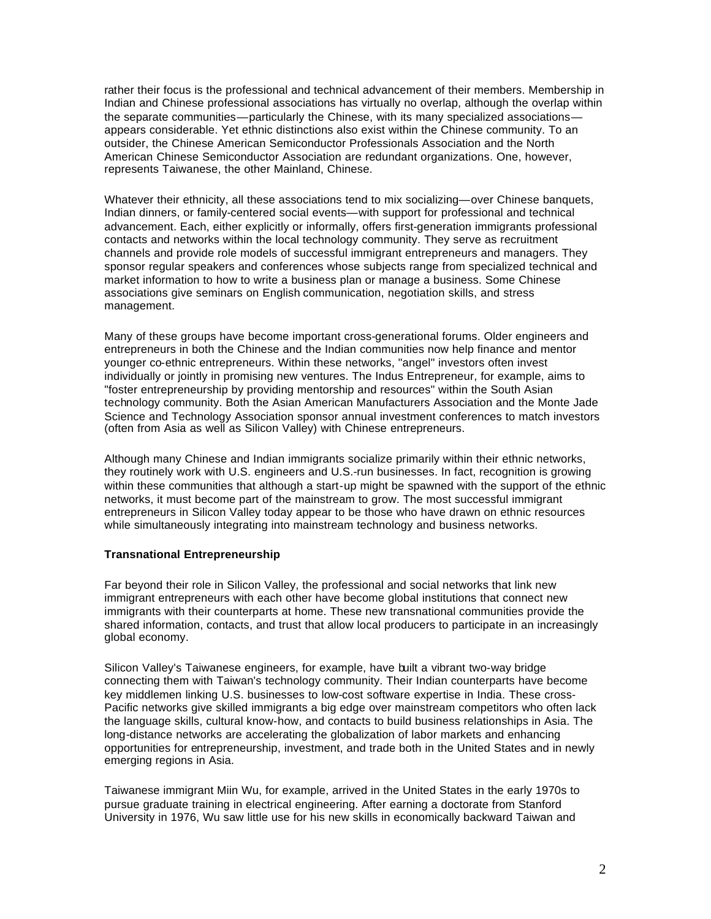rather their focus is the professional and technical advancement of their members. Membership in Indian and Chinese professional associations has virtually no overlap, although the overlap within the separate communities—particularly the Chinese, with its many specialized associations appears considerable. Yet ethnic distinctions also exist within the Chinese community. To an outsider, the Chinese American Semiconductor Professionals Association and the North American Chinese Semiconductor Association are redundant organizations. One, however, represents Taiwanese, the other Mainland, Chinese.

Whatever their ethnicity, all these associations tend to mix socializing—over Chinese banquets, Indian dinners, or family-centered social events—with support for professional and technical advancement. Each, either explicitly or informally, offers first-generation immigrants professional contacts and networks within the local technology community. They serve as recruitment channels and provide role models of successful immigrant entrepreneurs and managers. They sponsor regular speakers and conferences whose subjects range from specialized technical and market information to how to write a business plan or manage a business. Some Chinese associations give seminars on English communication, negotiation skills, and stress management.

Many of these groups have become important cross-generational forums. Older engineers and entrepreneurs in both the Chinese and the Indian communities now help finance and mentor younger co-ethnic entrepreneurs. Within these networks, "angel" investors often invest individually or jointly in promising new ventures. The Indus Entrepreneur, for example, aims to "foster entrepreneurship by providing mentorship and resources" within the South Asian technology community. Both the Asian American Manufacturers Association and the Monte Jade Science and Technology Association sponsor annual investment conferences to match investors (often from Asia as well as Silicon Valley) with Chinese entrepreneurs.

Although many Chinese and Indian immigrants socialize primarily within their ethnic networks, they routinely work with U.S. engineers and U.S.-run businesses. In fact, recognition is growing within these communities that although a start-up might be spawned with the support of the ethnic networks, it must become part of the mainstream to grow. The most successful immigrant entrepreneurs in Silicon Valley today appear to be those who have drawn on ethnic resources while simultaneously integrating into mainstream technology and business networks.

## **Transnational Entrepreneurship**

Far beyond their role in Silicon Valley, the professional and social networks that link new immigrant entrepreneurs with each other have become global institutions that connect new immigrants with their counterparts at home. These new transnational communities provide the shared information, contacts, and trust that allow local producers to participate in an increasingly global economy.

Silicon Valley's Taiwanese engineers, for example, have built a vibrant two-way bridge connecting them with Taiwan's technology community. Their Indian counterparts have become key middlemen linking U.S. businesses to low-cost software expertise in India. These cross-Pacific networks give skilled immigrants a big edge over mainstream competitors who often lack the language skills, cultural know-how, and contacts to build business relationships in Asia. The long-distance networks are accelerating the globalization of labor markets and enhancing opportunities for entrepreneurship, investment, and trade both in the United States and in newly emerging regions in Asia.

Taiwanese immigrant Miin Wu, for example, arrived in the United States in the early 1970s to pursue graduate training in electrical engineering. After earning a doctorate from Stanford University in 1976, Wu saw little use for his new skills in economically backward Taiwan and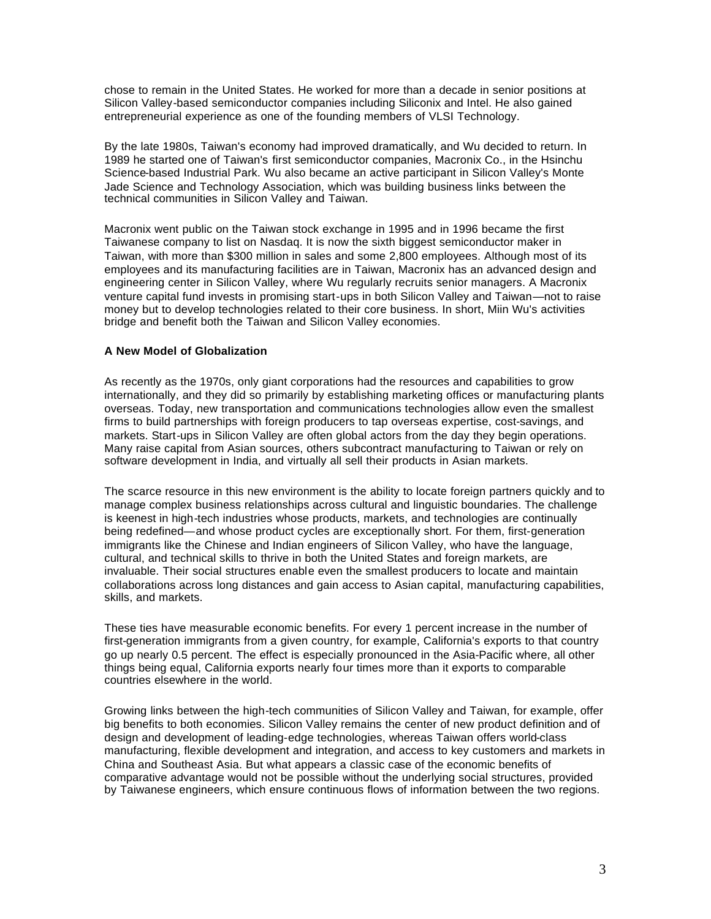chose to remain in the United States. He worked for more than a decade in senior positions at Silicon Valley-based semiconductor companies including Siliconix and Intel. He also gained entrepreneurial experience as one of the founding members of VLSI Technology.

By the late 1980s, Taiwan's economy had improved dramatically, and Wu decided to return. In 1989 he started one of Taiwan's first semiconductor companies, Macronix Co., in the Hsinchu Science-based Industrial Park. Wu also became an active participant in Silicon Valley's Monte Jade Science and Technology Association, which was building business links between the technical communities in Silicon Valley and Taiwan.

Macronix went public on the Taiwan stock exchange in 1995 and in 1996 became the first Taiwanese company to list on Nasdaq. It is now the sixth biggest semiconductor maker in Taiwan, with more than \$300 million in sales and some 2,800 employees. Although most of its employees and its manufacturing facilities are in Taiwan, Macronix has an advanced design and engineering center in Silicon Valley, where Wu regularly recruits senior managers. A Macronix venture capital fund invests in promising start-ups in both Silicon Valley and Taiwan—not to raise money but to develop technologies related to their core business. In short, Miin Wu's activities bridge and benefit both the Taiwan and Silicon Valley economies.

#### **A New Model of Globalization**

As recently as the 1970s, only giant corporations had the resources and capabilities to grow internationally, and they did so primarily by establishing marketing offices or manufacturing plants overseas. Today, new transportation and communications technologies allow even the smallest firms to build partnerships with foreign producers to tap overseas expertise, cost-savings, and markets. Start-ups in Silicon Valley are often global actors from the day they begin operations. Many raise capital from Asian sources, others subcontract manufacturing to Taiwan or rely on software development in India, and virtually all sell their products in Asian markets.

The scarce resource in this new environment is the ability to locate foreign partners quickly and to manage complex business relationships across cultural and linguistic boundaries. The challenge is keenest in high-tech industries whose products, markets, and technologies are continually being redefined—and whose product cycles are exceptionally short. For them, first-generation immigrants like the Chinese and Indian engineers of Silicon Valley, who have the language, cultural, and technical skills to thrive in both the United States and foreign markets, are invaluable. Their social structures enable even the smallest producers to locate and maintain collaborations across long distances and gain access to Asian capital, manufacturing capabilities, skills, and markets.

These ties have measurable economic benefits. For every 1 percent increase in the number of first-generation immigrants from a given country, for example, California's exports to that country go up nearly 0.5 percent. The effect is especially pronounced in the Asia-Pacific where, all other things being equal, California exports nearly four times more than it exports to comparable countries elsewhere in the world.

Growing links between the high-tech communities of Silicon Valley and Taiwan, for example, offer big benefits to both economies. Silicon Valley remains the center of new product definition and of design and development of leading-edge technologies, whereas Taiwan offers world-class manufacturing, flexible development and integration, and access to key customers and markets in China and Southeast Asia. But what appears a classic case of the economic benefits of comparative advantage would not be possible without the underlying social structures, provided by Taiwanese engineers, which ensure continuous flows of information between the two regions.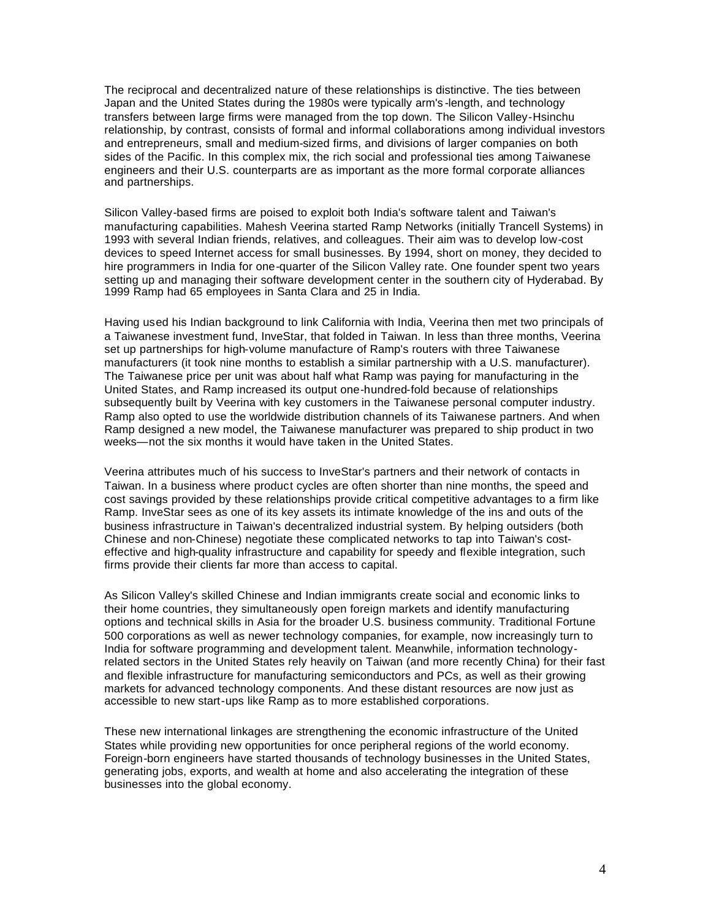The reciprocal and decentralized nature of these relationships is distinctive. The ties between Japan and the United States during the 1980s were typically arm's -length, and technology transfers between large firms were managed from the top down. The Silicon Valley-Hsinchu relationship, by contrast, consists of formal and informal collaborations among individual investors and entrepreneurs, small and medium-sized firms, and divisions of larger companies on both sides of the Pacific. In this complex mix, the rich social and professional ties among Taiwanese engineers and their U.S. counterparts are as important as the more formal corporate alliances and partnerships.

Silicon Valley-based firms are poised to exploit both India's software talent and Taiwan's manufacturing capabilities. Mahesh Veerina started Ramp Networks (initially Trancell Systems) in 1993 with several Indian friends, relatives, and colleagues. Their aim was to develop low-cost devices to speed Internet access for small businesses. By 1994, short on money, they decided to hire programmers in India for one-quarter of the Silicon Valley rate. One founder spent two years setting up and managing their software development center in the southern city of Hyderabad. By 1999 Ramp had 65 employees in Santa Clara and 25 in India.

Having used his Indian background to link California with India, Veerina then met two principals of a Taiwanese investment fund, InveStar, that folded in Taiwan. In less than three months, Veerina set up partnerships for high-volume manufacture of Ramp's routers with three Taiwanese manufacturers (it took nine months to establish a similar partnership with a U.S. manufacturer). The Taiwanese price per unit was about half what Ramp was paying for manufacturing in the United States, and Ramp increased its output one-hundred-fold because of relationships subsequently built by Veerina with key customers in the Taiwanese personal computer industry. Ramp also opted to use the worldwide distribution channels of its Taiwanese partners. And when Ramp designed a new model, the Taiwanese manufacturer was prepared to ship product in two weeks—not the six months it would have taken in the United States.

Veerina attributes much of his success to InveStar's partners and their network of contacts in Taiwan. In a business where product cycles are often shorter than nine months, the speed and cost savings provided by these relationships provide critical competitive advantages to a firm like Ramp. InveStar sees as one of its key assets its intimate knowledge of the ins and outs of the business infrastructure in Taiwan's decentralized industrial system. By helping outsiders (both Chinese and non-Chinese) negotiate these complicated networks to tap into Taiwan's costeffective and high-quality infrastructure and capability for speedy and flexible integration, such firms provide their clients far more than access to capital.

As Silicon Valley's skilled Chinese and Indian immigrants create social and economic links to their home countries, they simultaneously open foreign markets and identify manufacturing options and technical skills in Asia for the broader U.S. business community. Traditional Fortune 500 corporations as well as newer technology companies, for example, now increasingly turn to India for software programming and development talent. Meanwhile, information technologyrelated sectors in the United States rely heavily on Taiwan (and more recently China) for their fast and flexible infrastructure for manufacturing semiconductors and PCs, as well as their growing markets for advanced technology components. And these distant resources are now just as accessible to new start-ups like Ramp as to more established corporations.

These new international linkages are strengthening the economic infrastructure of the United States while providing new opportunities for once peripheral regions of the world economy. Foreign-born engineers have started thousands of technology businesses in the United States, generating jobs, exports, and wealth at home and also accelerating the integration of these businesses into the global economy.